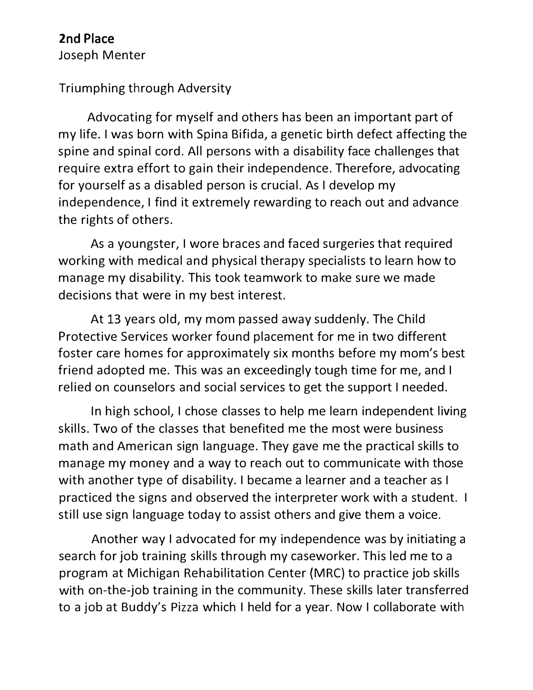## **2**nd Place

Joseph Menter

## Triumphing through Adversity

Advocating for myself and others has been an important part of my life. I was born with Spina Bifida, a genetic birth defect affecting the spine and spinal cord. All persons with a disability face challenges that require extra effort to gain their independence. Therefore, advocating for yourself as a disabled person is crucial. As I develop my independence, I find it extremely rewarding to reach out and advance the rights of others.

As a youngster, I wore braces and faced surgeries that required working with medical and physical therapy specialists to learn how to manage my disability. This took teamwork to make sure we made decisions that were in my best interest.

At 13 years old, my mom passed away suddenly. The Child Protective Services worker found placement for me in two different foster care homes for approximately six months before my mom's best friend adopted me. This was an exceedingly tough time for me, and I relied on counselors and social services to get the support I needed.

In high school, I chose classes to help me learn independent living skills. Two of the classes that benefited me the most were business math and American sign language. They gave me the practical skills to manage my money and a way to reach out to communicate with those with another type of disability. I became a learner and a teacher as I practiced the signs and observed the interpreter work with a student. I still use sign language today to assist others and give them a voice.

Another way I advocated for my independence was by initiating a search for job training skills through my caseworker. This led me to a program at Michigan Rehabilitation Center (MRC) to practice job skills with on-the-job training in the community. These skills later transferred to a job at Buddy's Pizza which I held for a year. Now I collaborate with